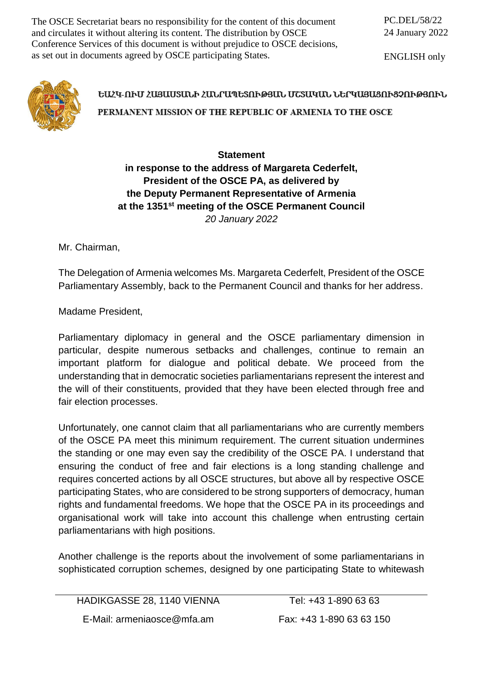The OSCE Secretariat bears no responsibility for the content of this document and circulates it without altering its content. The distribution by OSCE Conference Services of this document is without prejudice to OSCE decisions, as set out in documents agreed by OSCE participating States.

ENGLISH only



## ԵԱՀԿ-ՈՒՄ ՀԱՅԱՍՏԱՆԻ ՀԱՆՐԱՊԵՏՈՒԹՅԱՆ ՄՇՏԱԿԱՆ ՆԵՐԿԱՅԱՑՈՒՑՉՈՒԹՅՈՒՆ PERMANENT MISSION OF THE REPUBLIC OF ARMENIA TO THE OSCE

## **Statement in response to the address of Margareta Cederfelt, President of the OSCE PA, as delivered by the Deputy Permanent Representative of Armenia at the 1351st meeting of the OSCE Permanent Council** *20 January 2022*

Mr. Chairman,

The Delegation of Armenia welcomes Ms. Margareta Cederfelt, President of the OSCE Parliamentary Assembly, back to the Permanent Council and thanks for her address.

Madame President,

Parliamentary diplomacy in general and the OSCE parliamentary dimension in particular, despite numerous setbacks and challenges, continue to remain an important platform for dialogue and political debate. We proceed from the understanding that in democratic societies parliamentarians represent the interest and the will of their constituents, provided that they have been elected through free and fair election processes.

Unfortunately, one cannot claim that all parliamentarians who are currently members of the OSCE PA meet this minimum requirement. The current situation undermines the standing or one may even say the credibility of the OSCE PA. I understand that ensuring the conduct of free and fair elections is a long standing challenge and requires concerted actions by all OSCE structures, but above all by respective OSCE participating States, who are considered to be strong supporters of democracy, human rights and fundamental freedoms. We hope that the OSCE PA in its proceedings and organisational work will take into account this challenge when entrusting certain parliamentarians with high positions.

Another challenge is the reports about the involvement of some parliamentarians in sophisticated corruption schemes, designed by one participating State to whitewash